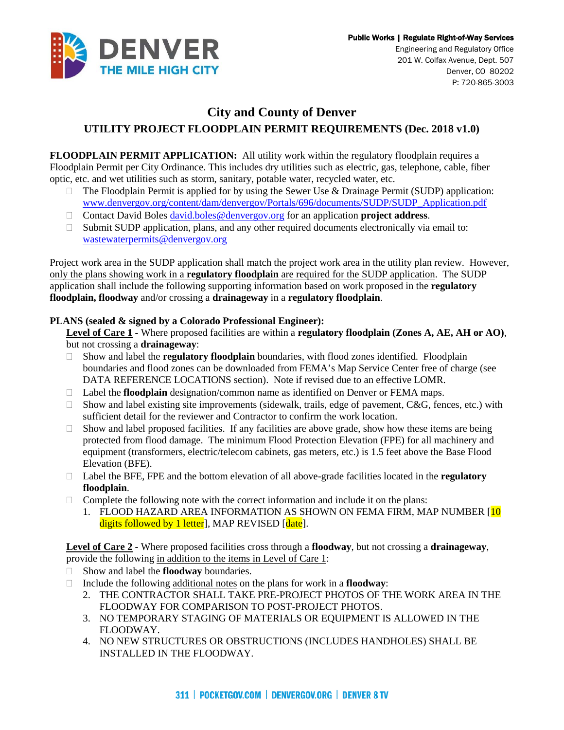

Engineering and Regulatory Office 201 W. Colfax Avenue, Dept. 507 Denver, CO 80202 P: 720-865-3003

## **City and County of Denver UTILITY PROJECT FLOODPLAIN PERMIT REQUIREMENTS (Dec. 2018 v1.0)**

**FLOODPLAIN PERMIT APPLICATION:** All utility work within the regulatory floodplain requires a Floodplain Permit per City Ordinance. This includes dry utilities such as electric, gas, telephone, cable, fiber optic, etc. and wet utilities such as storm, sanitary, potable water, recycled water, etc.

- $\Box$  The Floodplain Permit is applied for by using the Sewer Use & Drainage Permit (SUDP) application: [www.denvergov.org/content/dam/denvergov/Portals/696/documents/SUDP/SUDP\\_Application.pdf](http://www.denvergov.org/content/dam/denvergov/Portals/696/documents/SUDP/SUDP_Application.pdf)
- Contact David Boles [david.boles@denvergov.org](mailto:david.boles@denvergov.org) for an application **project address**.
- $\Box$  Submit SUDP application, plans, and any other required documents electronically via email to: [wastewaterpermits@denvergov.org](mailto:wastewaterpermits@denvergov.org)

Project work area in the SUDP application shall match the project work area in the utility plan review. However, only the plans showing work in a **regulatory floodplain** are required for the SUDP application. The SUDP application shall include the following supporting information based on work proposed in the **regulatory floodplain, floodway** and/or crossing a **drainageway** in a **regulatory floodplain**.

## **PLANS (sealed & signed by a Colorado Professional Engineer):**

**Level of Care 1 -** Where proposed facilities are within a **regulatory floodplain (Zones A, AE, AH or AO)**, but not crossing a **drainageway**:

- Show and label the **regulatory floodplain** boundaries, with flood zones identified. Floodplain boundaries and flood zones can be downloaded from FEMA's Map Service Center free of charge (see DATA REFERENCE LOCATIONS section). Note if revised due to an effective LOMR.
- □ Label the **floodplain** designation/common name as identified on Denver or FEMA maps.
- $\Box$  Show and label existing site improvements (sidewalk, trails, edge of pavement, C&G, fences, etc.) with sufficient detail for the reviewer and Contractor to confirm the work location.
- $\Box$  Show and label proposed facilities. If any facilities are above grade, show how these items are being protected from flood damage. The minimum Flood Protection Elevation (FPE) for all machinery and equipment (transformers, electric/telecom cabinets, gas meters, etc.) is 1.5 feet above the Base Flood Elevation (BFE).
- Label the BFE, FPE and the bottom elevation of all above-grade facilities located in the **regulatory floodplain**.
- $\Box$  Complete the following note with the correct information and include it on the plans:
	- 1. FLOOD HAZARD AREA INFORMATION AS SHOWN ON FEMA FIRM, MAP NUMBER [10] digits followed by 1 letter, MAP REVISED [date].

**Level of Care 2 -** Where proposed facilities cross through a **floodway**, but not crossing a **drainageway**, provide the following in addition to the items in Level of Care 1:

- Show and label the **floodway** boundaries.
- Include the following additional notes on the plans for work in a **floodway**:
	- 2. THE CONTRACTOR SHALL TAKE PRE-PROJECT PHOTOS OF THE WORK AREA IN THE FLOODWAY FOR COMPARISON TO POST-PROJECT PHOTOS.
	- 3. NO TEMPORARY STAGING OF MATERIALS OR EQUIPMENT IS ALLOWED IN THE FLOODWAY.
	- 4. NO NEW STRUCTURES OR OBSTRUCTIONS (INCLUDES HANDHOLES) SHALL BE INSTALLED IN THE FLOODWAY.